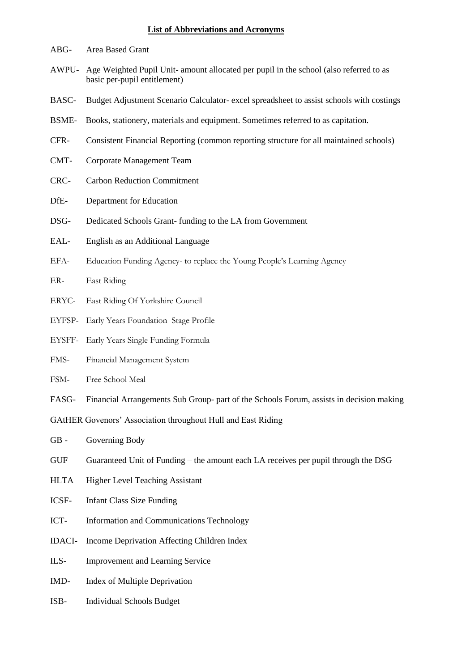## **List of Abbreviations and Acronyms**

- ABG- Area Based Grant
- AWPU- Age Weighted Pupil Unit- amount allocated per pupil in the school (also referred to as basic per-pupil entitlement)
- BASC- Budget Adjustment Scenario Calculator- excel spreadsheet to assist schools with costings
- BSME- Books, stationery, materials and equipment. Sometimes referred to as capitation.
- CFR- Consistent Financial Reporting (common reporting structure for all maintained schools)
- CMT- Corporate Management Team
- CRC- Carbon Reduction Commitment
- DfE- Department for Education
- DSG- Dedicated Schools Grant- funding to the LA from Government
- EAL- English as an Additional Language
- EFA- Education Funding Agency- to replace the Young People's Learning Agency
- ER- East Riding
- ERYC- East Riding Of Yorkshire Council
- EYFSP- Early Years Foundation Stage Profile
- EYSFF- Early Years Single Funding Formula
- FMS- Financial Management System
- FSM- Free School Meal
- FASG- Financial Arrangements Sub Group- part of the Schools Forum, assists in decision making

GAtHER Govenors' Association throughout Hull and East Riding

- GB Governing Body
- GUF Guaranteed Unit of Funding the amount each LA receives per pupil through the DSG
- HLTA Higher Level Teaching Assistant
- ICSF- Infant Class Size Funding
- ICT- Information and Communications Technology
- IDACI- Income Deprivation Affecting Children Index
- ILS- Improvement and Learning Service
- IMD- Index of Multiple Deprivation
- ISB- Individual Schools Budget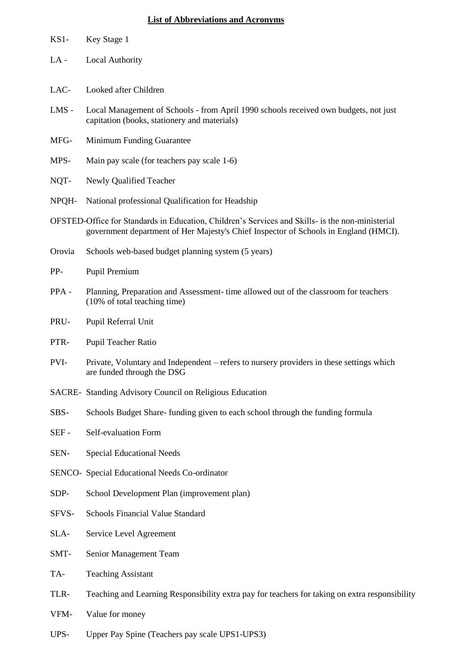## **List of Abbreviations and Acronyms**

| $KS1-$ | Key Stage 1                                                                                                                                                                              |  |  |
|--------|------------------------------------------------------------------------------------------------------------------------------------------------------------------------------------------|--|--|
| $LA -$ | <b>Local Authority</b>                                                                                                                                                                   |  |  |
| LAC-   | Looked after Children                                                                                                                                                                    |  |  |
| LMS -  | Local Management of Schools - from April 1990 schools received own budgets, not just<br>capitation (books, stationery and materials)                                                     |  |  |
| MFG-   | Minimum Funding Guarantee                                                                                                                                                                |  |  |
| MPS-   | Main pay scale (for teachers pay scale 1-6)                                                                                                                                              |  |  |
| NQT-   | Newly Qualified Teacher                                                                                                                                                                  |  |  |
| NPQH-  | National professional Qualification for Headship                                                                                                                                         |  |  |
|        | OFSTED-Office for Standards in Education, Children's Services and Skills- is the non-ministerial<br>government department of Her Majesty's Chief Inspector of Schools in England (HMCI). |  |  |
| Orovia | Schools web-based budget planning system (5 years)                                                                                                                                       |  |  |
| PP-    | Pupil Premium                                                                                                                                                                            |  |  |
| PPA-   | Planning, Preparation and Assessment- time allowed out of the classroom for teachers<br>(10% of total teaching time)                                                                     |  |  |
| PRU-   | Pupil Referral Unit                                                                                                                                                                      |  |  |
| PTR-   | Pupil Teacher Ratio                                                                                                                                                                      |  |  |
| PVI-   | Private, Voluntary and Independent – refers to nursery providers in these settings which<br>are funded through the DSG                                                                   |  |  |
|        | SACRE- Standing Advisory Council on Religious Education                                                                                                                                  |  |  |
| SBS-   | Schools Budget Share-funding given to each school through the funding formula                                                                                                            |  |  |
| SEF-   | Self-evaluation Form                                                                                                                                                                     |  |  |
| SEN-   | <b>Special Educational Needs</b>                                                                                                                                                         |  |  |
|        | SENCO- Special Educational Needs Co-ordinator                                                                                                                                            |  |  |
| SDP-   | School Development Plan (improvement plan)                                                                                                                                               |  |  |
| SFVS-  | Schools Financial Value Standard                                                                                                                                                         |  |  |
| SLA-   | Service Level Agreement                                                                                                                                                                  |  |  |
| SMT-   | Senior Management Team                                                                                                                                                                   |  |  |
| TA-    | <b>Teaching Assistant</b>                                                                                                                                                                |  |  |
| TLR-   | Teaching and Learning Responsibility extra pay for teachers for taking on extra responsibility                                                                                           |  |  |
| VFM-   | Value for money                                                                                                                                                                          |  |  |
| UPS-   | Upper Pay Spine (Teachers pay scale UPS1-UPS3)                                                                                                                                           |  |  |